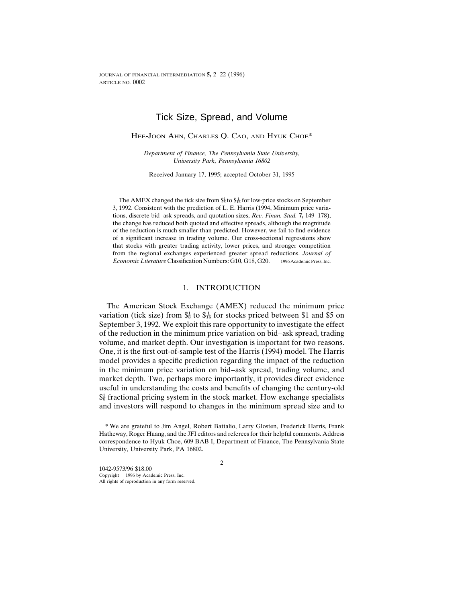# Tick Size, Spread, and Volume

### HEE-JOON AHN, CHARLES Q. CAO, AND HYUK CHOE\*

*Department of Finance, The Pennsylvania State University, University Park, Pennsylvania 16802*

Received January 17, 1995; accepted October 31, 1995

The AMEX changed the tick size from  $\frac{6}{8}$  to  $\frac{4}{16}$  for low-price stocks on September 3, 1992. Consistent with the prediction of L. E. Harris (1994, Minimum price variations, discrete bid–ask spreads, and quotation sizes, *Rev. Finan. Stud.* **7,** 149–178), the change has reduced both quoted and effective spreads, although the magnitude of the reduction is much smaller than predicted. However, we fail to find evidence of a significant increase in trading volume. Our cross-sectional regressions show that stocks with greater trading activity, lower prices, and stronger competition from the regional exchanges experienced greater spread reductions. *Journal of Economic Literature* Classification Numbers: G10, G18, G20. 1996 Academic Press, Inc.

## 1. INTRODUCTION

The American Stock Exchange (AMEX) reduced the minimum price variation (tick size) from  $\frac{1}{8}$  to  $\frac{1}{16}$  for stocks priced between \$1 and \$5 on September 3, 1992. We exploit this rare opportunity to investigate the effect of the reduction in the minimum price variation on bid–ask spread, trading volume, and market depth. Our investigation is important for two reasons. One, it is the first out-of-sample test of the Harris (1994) model. The Harris model provides a specific prediction regarding the impact of the reduction in the minimum price variation on bid–ask spread, trading volume, and market depth. Two, perhaps more importantly, it provides direct evidence useful in understanding the costs and benefits of changing the century-old  $\frac{1}{88}$  fractional pricing system in the stock market. How exchange specialists and investors will respond to changes in the minimum spread size and to

<sup>\*</sup> We are grateful to Jim Angel, Robert Battalio, Larry Glosten, Frederick Harris, Frank Hatheway, Roger Huang, and the JFI editors and referees for their helpful comments. Address correspondence to Hyuk Choe, 609 BAB I, Department of Finance, The Pennsylvania State University, University Park, PA 16802.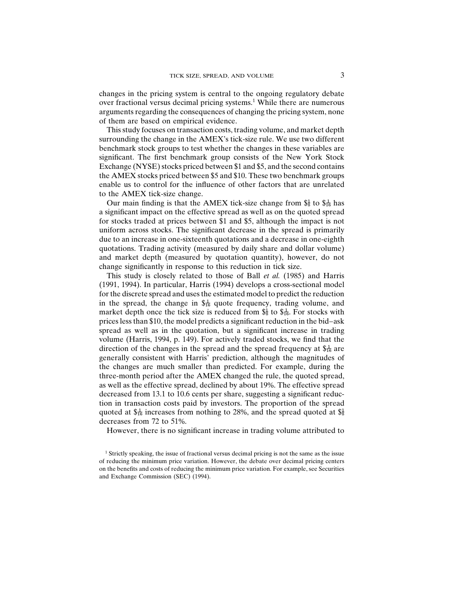changes in the pricing system is central to the ongoing regulatory debate over fractional versus decimal pricing systems.<sup>1</sup> While there are numerous arguments regarding the consequences of changing the pricing system, none of them are based on empirical evidence.

This study focuses on transaction costs, trading volume, and market depth surrounding the change in the AMEX's tick-size rule. We use two different benchmark stock groups to test whether the changes in these variables are significant. The first benchmark group consists of the New York Stock Exchange (NYSE) stocks priced between \$1 and \$5, and the second contains the AMEX stocks priced between \$5 and \$10. These two benchmark groups enable us to control for the influence of other factors that are unrelated to the AMEX tick-size change.

Our main finding is that the AMEX tick-size change from  $\frac{61}{8}$  to  $\frac{1}{16}$  has a significant impact on the effective spread as well as on the quoted spread for stocks traded at prices between \$1 and \$5, although the impact is not uniform across stocks. The significant decrease in the spread is primarily due to an increase in one-sixteenth quotations and a decrease in one-eighth quotations. Trading activity (measured by daily share and dollar volume) and market depth (measured by quotation quantity), however, do not change significantly in response to this reduction in tick size.

This study is closely related to those of Ball *et al.* (1985) and Harris (1991, 1994). In particular, Harris (1994) develops a cross-sectional model for the discrete spread and uses the estimated model to predict the reduction in the spread, the change in  $\frac{1}{46}$  quote frequency, trading volume, and market depth once the tick size is reduced from  $\frac{1}{8}$  to  $\frac{1}{16}$ . For stocks with prices less than \$10, the model predicts a significant reduction in the bid–ask spread as well as in the quotation, but a significant increase in trading volume (Harris, 1994, p. 149). For actively traded stocks, we find that the direction of the changes in the spread and the spread frequency at  $\frac{1}{2}$  are generally consistent with Harris' prediction, although the magnitudes of the changes are much smaller than predicted. For example, during the three-month period after the AMEX changed the rule, the quoted spread, as well as the effective spread, declined by about 19%. The effective spread decreased from 13.1 to 10.6 cents per share, suggesting a significant reduction in transaction costs paid by investors. The proportion of the spread quoted at  $\frac{1}{4}$  increases from nothing to 28%, and the spread quoted at  $\frac{1}{8}$ decreases from 72 to 51%.

However, there is no significant increase in trading volume attributed to

<sup>1</sup> Strictly speaking, the issue of fractional versus decimal pricing is not the same as the issue of reducing the minimum price variation. However, the debate over decimal pricing centers on the benefits and costs of reducing the minimum price variation. For example, see Securities and Exchange Commission (SEC) (1994).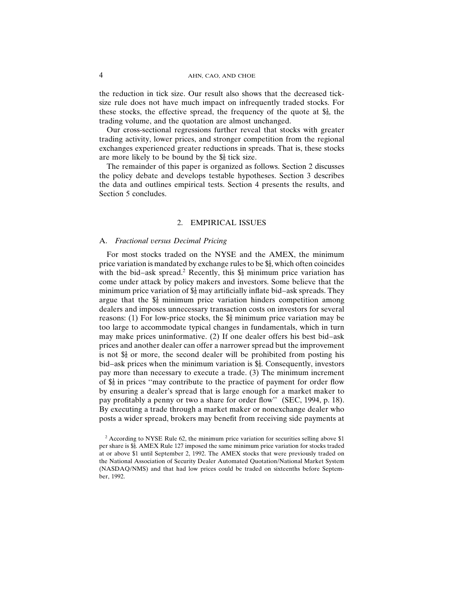the reduction in tick size. Our result also shows that the decreased ticksize rule does not have much impact on infrequently traded stocks. For these stocks, the effective spread, the frequency of the quote at  $\frac{4}{8}$ , the trading volume, and the quotation are almost unchanged.

Our cross-sectional regressions further reveal that stocks with greater trading activity, lower prices, and stronger competition from the regional exchanges experienced greater reductions in spreads. That is, these stocks are more likely to be bound by the  $\frac{1}{8}$  tick size.

The remainder of this paper is organized as follows. Section 2 discusses the policy debate and develops testable hypotheses. Section 3 describes the data and outlines empirical tests. Section 4 presents the results, and Section 5 concludes.

### 2. EMPIRICAL ISSUES

# A. *Fractional versus Decimal Pricing*

For most stocks traded on the NYSE and the AMEX, the minimum price variation is mandated by exchange rules to be  $\frac{1}{8}$ , which often coincides with the bid–ask spread.<sup>2</sup> Recently, this  $\frac{1}{8}$  minimum price variation has come under attack by policy makers and investors. Some believe that the minimum price variation of  $\hat{\mathbb{S}}_8^1$  may artificially inflate bid–ask spreads. They argue that the  $\frac{1}{8}$  minimum price variation hinders competition among dealers and imposes unnecessary transaction costs on investors for several reasons: (1) For low-price stocks, the  $\frac{1}{8}$  minimum price variation may be too large to accommodate typical changes in fundamentals, which in turn may make prices uninformative. (2) If one dealer offers his best bid–ask prices and another dealer can offer a narrower spread but the improvement is not  $\frac{1}{8}$  or more, the second dealer will be prohibited from posting his bid–ask prices when the minimum variation is  $\hat{s}_{\overline{s}}^1$ . Consequently, investors pay more than necessary to execute a trade. (3) The minimum increment of  $\frac{4}{36}$  in prices "may contribute to the practice of payment for order flow by ensuring a dealer's spread that is large enough for a market maker to pay profitably a penny or two a share for order flow'' (SEC, 1994, p. 18). By executing a trade through a market maker or nonexchange dealer who posts a wider spread, brokers may benefit from receiving side payments at

 $2$  According to NYSE Rule 62, the minimum price variation for securities selling above \$1 per share is  $\frac{1}{36}$ . AMEX Rule 127 imposed the same minimum price variation for stocks traded at or above \$1 until September 2, 1992. The AMEX stocks that were previously traded on the National Association of Security Dealer Automated Quotation/National Market System (NASDAQ/NMS) and that had low prices could be traded on sixteenths before September, 1992.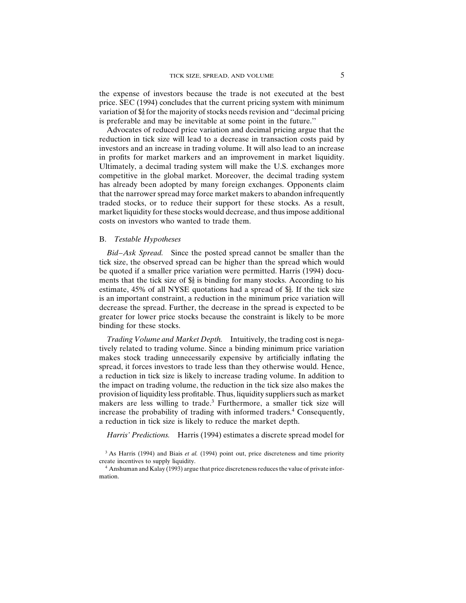the expense of investors because the trade is not executed at the best price. SEC (1994) concludes that the current pricing system with minimum variation of  $\frac{1}{8}$  for the majority of stocks needs revision and "decimal pricing is preferable and may be inevitable at some point in the future.''

Advocates of reduced price variation and decimal pricing argue that the reduction in tick size will lead to a decrease in transaction costs paid by investors and an increase in trading volume. It will also lead to an increase in profits for market markers and an improvement in market liquidity. Ultimately, a decimal trading system will make the U.S. exchanges more commatter), a account the global market. Moreover, the decimal trading system has already been adopted by many foreign exchanges. Opponents claim that the narrower spread may force market makers to abandon infrequently traded stocks, or to reduce their support for these stocks. As a result, market liquidity for these stocks would decrease, and thus impose additional costs on investors who wanted to trade them.

### B. *Testable Hypotheses*

*Bid–Ask Spread.* Since the posted spread cannot be smaller than the tick size, the observed spread can be higher than the spread which would be quoted if a smaller price variation were permitted. Harris (1994) documents that the tick size of  $\frac{4}{8}$  is binding for many stocks. According to his estimate, 45% of all NYSE quotations had a spread of  $\frac{4}{88}$ . If the tick size is an important constraint, a reduction in the minimum price variation will decrease the spread. Further, the decrease in the spread is expected to be greater for lower price stocks because the constraint is likely to be more binding for these stocks.

*Trading Volume and Market Depth.* Intuitively, the trading cost is negatively related to trading volume. Since a binding minimum price variation makes stock trading unnecessarily expensive by artificially inflating the spread, it forces investors to trade less than they otherwise would. Hence, a reduction in tick size is likely to increase trading volume. In addition to the impact on trading volume, the reduction in the tick size also makes the provision of liquidity less profitable. Thus, liquidity suppliers such as market makers are less willing to trade.<sup>3</sup> Furthermore, a smaller tick size will increase the probability of trading with informed traders.<sup>4</sup> Consequently, a reduction in tick size is likely to reduce the market depth.

*Harris' Predictions.* Harris (1994) estimates a discrete spread model for

<sup>&</sup>lt;sup>3</sup> As Harris (1994) and Biais *et al.* (1994) point out, price discreteness and time priority create incentives to supply liquidity.

<sup>&</sup>lt;sup>4</sup> Anshuman and Kalay (1993) argue that price discreteness reduces the value of private information.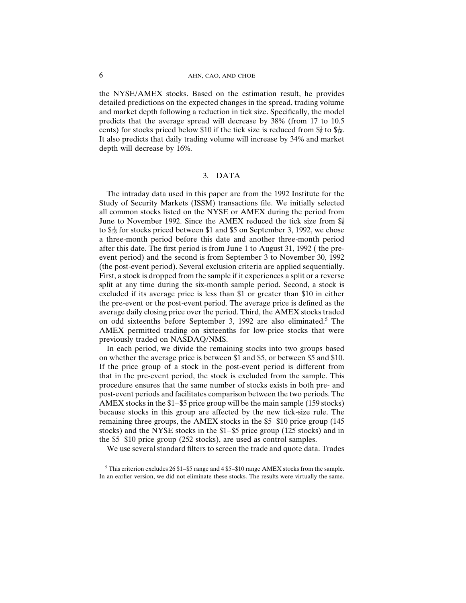the NYSE/AMEX stocks. Based on the estimation result, he provides detailed predictions on the expected changes in the spread, trading volume and market depth following a reduction in tick size. Specifically, the model predicts that the average spread will decrease by 38% (from 17 to 10.5 cents) for stocks priced below \$10 if the tick size is reduced from  $\frac{4}{5}$  to  $\frac{4}{5}$ . It also predicts that daily trading volume will increase by 34% and market depth will decrease by 16%.

# 3. DATA

The intraday data used in this paper are from the 1992 Institute for the Study of Security Markets (ISSM) transactions file. We initially selected all common stocks listed on the NYSE or AMEX during the period from June to November 1992. Since the AMEX reduced the tick size from  $\frac{1}{8}$ to  $\frac{1}{6}$  for stocks priced between \$1 and \$5 on September 3, 1992, we chose a three-month period before this date and another three-month period after this date. The first period is from June 1 to August 31, 1992 ( the preevent period) and the second is from September 3 to November 30, 1992 (the post-event period). Several exclusion criteria are applied sequentially. First, a stock is dropped from the sample if it experiences a split or a reverse split at any time during the six-month sample period. Second, a stock is excluded if its average price is less than \$1 or greater than \$10 in either the pre-event or the post-event period. The average price is defined as the average daily closing price over the period. Third, the AMEX stocks traded on odd sixteenths before September 3, 1992 are also eliminated.5 The AMEX permitted trading on sixteenths for low-price stocks that were previously traded on NASDAQ/NMS.

In each period, we divide the remaining stocks into two groups based on whether the average price is between \$1 and \$5, or between \$5 and \$10. If the price group of a stock in the post-event period is different from that in the pre-event period, the stock is excluded from the sample. This procedure ensures that the same number of stocks exists in both pre- and post-event periods and facilitates comparison between the two periods. The AMEX stocks in the \$1–\$5 price group will be the main sample (159 stocks) because stocks in this group are affected by the new tick-size rule. The remaining three groups, the AMEX stocks in the \$5–\$10 price group (145 stocks) and the NYSE stocks in the \$1–\$5 price group (125 stocks) and in the \$5–\$10 price group (252 stocks), are used as control samples.

We use several standard filters to screen the trade and quote data. Trades

<sup>5</sup> This criterion excludes 26 \$1–\$5 range and 4 \$5–\$10 range AMEX stocks from the sample. In an earlier version, we did not eliminate these stocks. The results were virtually the same.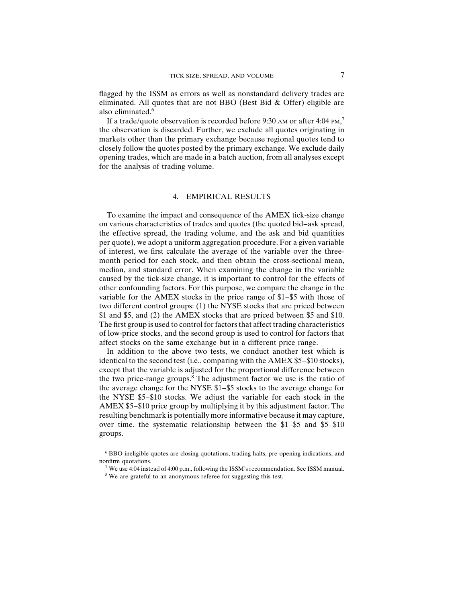flagged by the ISSM as errors as well as nonstandard delivery trades are eliminated. All quotes that are not BBO (Best Bid & Offer) eligible are also eliminated  $\overline{6}$ 

If a trade/quote observation is recorded before 9:30 AM or after 4:04  $\text{PM}$ ,<sup>7</sup> the observation is discarded. Further, we exclude all quotes originating in markets other than the primary exchange because regional quotes tend to closely follow the quotes posted by the primary exchange. We exclude daily opening trades, which are made in a batch auction, from all analyses except for the analysis of trading volume.

### 4. EMPIRICAL RESULTS

To examine the impact and consequence of the AMEX tick-size change on various characteristics of trades and quotes (the quoted bid–ask spread, the effective spread, the trading volume, and the ask and bid quantities per quote), we adopt a uniform aggregation procedure. For a given variable of interest, we first calculate the average of the variable over the threemonth period for each stock, and then obtain the cross-sectional mean, median, and standard error. When examining the change in the variable caused by the tick-size change, it is important to control for the effects of other confounding factors. For this purpose, we compare the change in the variable for the AMEX stocks in the price range of \$1–\$5 with those of two different control groups: (1) the NYSE stocks that are priced between \$1 and \$5, and (2) the AMEX stocks that are priced between \$5 and \$10. The first group is used to control for factors that affect trading characteristics of low-price stocks, and the second group is used to control for factors that affect stocks on the same exchange but in a different price range.

In addition to the above two tests, we conduct another test which is identical to the second test (i.e., comparing with the AMEX \$5–\$10 stocks), except that the variable is adjusted for the proportional difference between the two price-range groups.<sup>8</sup> The adjustment factor we use is the ratio of the average change for the NYSE \$1–\$5 stocks to the average change for the NYSE \$5–\$10 stocks. We adjust the variable for each stock in the AMEX \$5–\$10 price group by multiplying it by this adjustment factor. The resulting benchmark is potentially more informative because it may capture, over time, the systematic relationship between the \$1–\$5 and \$5–\$10 groups.

<sup>6</sup> BBO-ineligible quotes are closing quotations, trading halts, pre-opening indications, and nonfirm quotations.

<sup>7</sup> We use 4:04 instead of 4:00 p.m., following the ISSM's recommendation. See ISSM manual.

<sup>&</sup>lt;sup>8</sup> We are grateful to an anonymous referee for suggesting this test.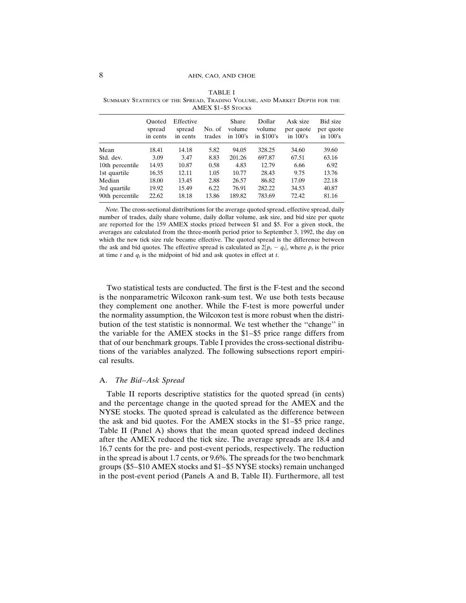|                                 |                              |                                 |                  | АМЕЛ Э1-ЭЭ ЭТОСКS              |                                  |                                      |                                      |
|---------------------------------|------------------------------|---------------------------------|------------------|--------------------------------|----------------------------------|--------------------------------------|--------------------------------------|
|                                 | Ouoted<br>spread<br>in cents | Effective<br>spread<br>in cents | No. of<br>trades | Share<br>volume<br>in $100$ 's | Dollar<br>volume<br>in $$100$ 's | Ask size<br>per quote<br>in $100$ 's | Bid size<br>per quote<br>in $100$ 's |
| Mean                            | 18.41                        | 14.18                           | 5.82             | 94.05                          | 328.25                           | 34.60                                | 39.60                                |
| Std. dev.                       | 3.09                         | 3.47                            | 8.83             | 201.26                         | 697.87                           | 67.51                                | 63.16                                |
| 10th percentile                 | 14.93                        | 10.87                           | 0.58             | 4.83                           | 12.79                            | 6.66                                 | 6.92                                 |
| 1st quartile                    | 16.35                        | 12.11                           | 1.05             | 10.77                          | 28.43                            | 9.75                                 | 13.76                                |
| Median                          | 18.00                        | 13.45                           | 2.88             | 26.57                          | 86.82                            | 17.09                                | 22.18                                |
| 3rd quartile<br>90th percentile | 19.92<br>22.62               | 15.49<br>18.18                  | 6.22<br>13.86    | 76.91<br>189.82                | 282.22<br>783.69                 | 34.53<br>72.42                       | 40.87<br>81.16                       |
|                                 |                              |                                 |                  |                                |                                  |                                      |                                      |

TABLE I SUMMARY STATISTICS OF THE SPREAD, TRADING VOLUME, AND MARKET DEPTH FOR THE  $\overline{\text{AMEV}}$  \$1–\$5 S<sub>TOCKS</sub>

*Note.* The cross-sectional distributions for the average quoted spread, effective spread, daily number of trades, daily share volume, daily dollar volume, ask size, and bid size per quote are reported for the 159 AMEX stocks priced between \$1 and \$5. For a given stock, the averages are calculated from the three-month period prior to September 3, 1992, the day on which the new tick size rule became effective. The quoted spread is the difference between the ask and bid quotes. The effective spread is calculated as  $2|p_t - q_t|$ , where  $p_t$  is the price at time *t* and  $q_t$  is the midpoint of bid and ask quotes in effect at *t*.

Two statistical tests are conducted. The first is the F-test and the second is the nonparametric Wilcoxon rank-sum test. We use both tests because they complement one another. While the F-test is more powerful under the normality assumption, the Wilcoxon test is more robust when the distribution of the test statistic is nonnormal. We test whether the ''change'' in the variable for the AMEX stocks in the \$1–\$5 price range differs from that of our benchmark groups. Table I provides the cross-sectional distributions of the variables analyzed. The following subsections report empirical results.

### A. *The Bid–Ask Spread*

Table II reports descriptive statistics for the quoted spread (in cents) and the percentage change in the quoted spread for the AMEX and the NYSE stocks. The quoted spread is calculated as the difference between the ask and bid quotes. For the AMEX stocks in the \$1–\$5 price range, Table II (Panel A) shows that the mean quoted spread indeed declines after the AMEX reduced the tick size. The average spreads are 18.4 and 16.7 cents for the pre- and post-event periods, respectively. The reduction in the spread is about 1.7 cents, or 9.6%. The spreads for the two benchmark groups (\$5–\$10 AMEX stocks and \$1–\$5 NYSE stocks) remain unchanged in the post-event period (Panels A and B, Table II). Furthermore, all test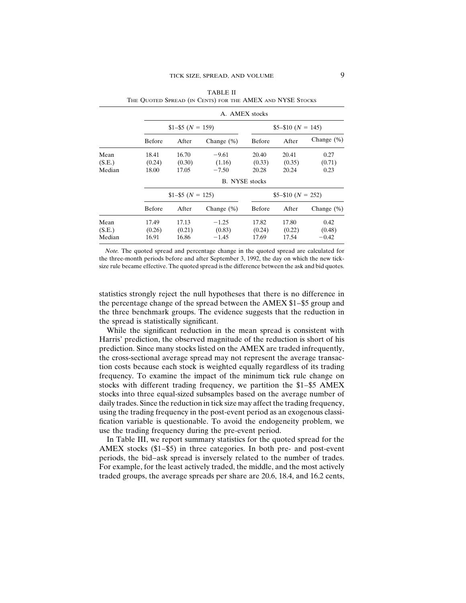|        |        |                  | A. AMEX stocks        |        |                    |               |
|--------|--------|------------------|-----------------------|--------|--------------------|---------------|
|        |        | $$1-$5(N = 159)$ |                       |        | $$5-$10 (N = 145)$ |               |
|        | Before | After            | Change $(\%)$         | Before | After              | Change $(\%)$ |
| Mean   | 18.41  | 16.70            | $-9.61$               | 20.40  | 20.41              | 0.27          |
| (S.E.) | (0.24) | (0.30)           | (1.16)                | (0.33) | (0.35)             | (0.71)        |
| Median | 18.00  | 17.05            | $-7.50$               | 20.28  | 20.24              | 0.23          |
|        |        |                  | <b>B.</b> NYSE stocks |        |                    |               |
|        |        | $$1-$5(N = 125)$ |                       |        | $$5-$10 (N = 252)$ |               |
|        | Before | After            | Change $(\%)$         | Before | After              | Change $(\%)$ |
| Mean   | 17.49  | 17.13            | $-1.25$               | 17.82  | 17.80              | 0.42          |
| (S.E.) | (0.26) | (0.21)           | (0.83)                | (0.24) | (0.22)             | (0.48)        |
| Median | 16.91  | 16.86            | $-1.45$               | 17.69  | 17.54              | $-0.42$       |
|        |        |                  |                       |        |                    |               |

TABLE II THE QUOTED SPREAD (IN CENTS) FOR THE AMEX AND NYSE STOCKS

*Note.* The quoted spread and percentage change in the quoted spread are calculated for the three-month periods before and after September 3, 1992, the day on which the new ticksize rule became effective. The quoted spread is the difference between the ask and bid quotes.

statistics strongly reject the null hypotheses that there is no difference in the percentage change of the spread between the AMEX \$1–\$5 group and the three benchmark groups. The evidence suggests that the reduction in the spread is statistically significant.

While the significant reduction in the mean spread is consistent with Harris' prediction, the observed magnitude of the reduction is short of his prediction. Since many stocks listed on the AMEX are traded infrequently, the cross-sectional average spread may not represent the average transaction costs because each stock is weighted equally regardless of its trading frequency. To examine the impact of the minimum tick rule change on stocks with different trading frequency, we partition the \$1–\$5 AMEX stocks into three equal-sized subsamples based on the average number of daily trades. Since the reduction in tick size may affect the trading frequency, using the trading frequency in the post-event period as an exogenous classification variable is questionable. To avoid the endogeneity problem, we use the trading frequency during the pre-event period.

In Table III, we report summary statistics for the quoted spread for the AMEX stocks (\$1–\$5) in three categories. In both pre- and post-event periods, the bid–ask spread is inversely related to the number of trades. For example, for the least actively traded, the middle, and the most actively traded groups, the average spreads per share are 20.6, 18.4, and 16.2 cents,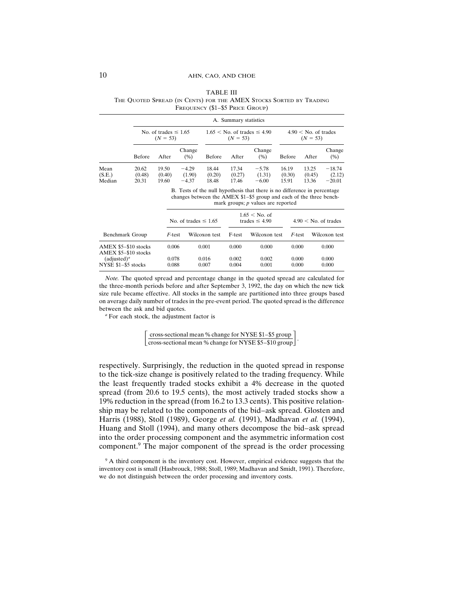|                          |                          |                                         |                              |                          | A. Summary statistics    |                                    |                          |                                      |                                |
|--------------------------|--------------------------|-----------------------------------------|------------------------------|--------------------------|--------------------------|------------------------------------|--------------------------|--------------------------------------|--------------------------------|
|                          |                          | No. of trades $\leq 1.65$<br>$(N = 53)$ |                              |                          | $(N = 53)$               | $1.65 <$ No. of trades $\leq 4.90$ |                          | $4.90 <$ No. of trades<br>$(N = 53)$ |                                |
|                          | Before                   | After                                   | Change<br>(% )               | Before                   | After                    | Change<br>(% )                     | Before                   | After                                | Change<br>(%)                  |
| Mean<br>(S.E.)<br>Median | 20.62<br>(0.48)<br>20.31 | 19.50<br>(0.40)<br>19.60                | $-4.29$<br>(1.90)<br>$-4.37$ | 18.44<br>(0.20)<br>18.48 | 17.34<br>(0.27)<br>17.46 | $-5.78$<br>(1.31)<br>$-6.00$       | 16.19<br>(0.30)<br>15.91 | 13.25<br>(0.45)<br>13.36             | $-18.74$<br>(2.12)<br>$-20.01$ |

TABLE III THE QUOTED SPREAD (IN CENTS) FOR THE AMEX STOCKS SORTED BY TRADING FREQUENCY (\$1–\$5 PRICE GROUP)

B. Tests of the null hypothesis that there is no difference in percentage changes between the AMEX \$1–\$5 group and each of the three benchmark groups; *p* values are reported

|                                              |                | No. of trades $\leq 1.65$ |                | $1.65 <$ No. of<br>trades $\leq 4.90$ |                | $4.90 <$ No. of trades |
|----------------------------------------------|----------------|---------------------------|----------------|---------------------------------------|----------------|------------------------|
| Benchmark Group                              | <i>F</i> -test | Wilcoxon test             | F-test         | Wilcoxon test                         | F-test         | Wilcoxon test          |
| AMEX \$5-\$10 stocks<br>AMEX \$5-\$10 stocks | 0.006          | 0.001                     | 0.000          | 0.000                                 | 0.000          | 0.000                  |
| $(adjusted)^a$<br>NYSE \$1-\$5 stocks        | 0.078<br>0.088 | 0.016<br>0.007            | 0.002<br>0.004 | 0.002<br>0.001                        | 0.000<br>0.000 | 0.000<br>0.000         |

*Note.* The quoted spread and percentage change in the quoted spread are calculated for the three-month periods before and after September 3, 1992, the day on which the new tick size rule became effective. All stocks in the sample are partitioned into three groups based on average daily number of trades in the pre-event period. The quoted spread is the difference between the ask and bid quotes.

*<sup>a</sup>* For each stock, the adjustment factor is

$$
\[ \frac{\text{cross-sectional mean } % \text{ change for NYSE } $1-$$5 group} {\text{cross-sectional mean } % \text{ change for NYSE } $5-$$10 group} \].
$$

respectively. Surprisingly, the reduction in the quoted spread in response to the tick-size change is positively related to the trading frequency. While the least frequently traded stocks exhibit a 4% decrease in the quoted spread (from 20.6 to 19.5 cents), the most actively traded stocks show a 19% reduction in the spread (from 16.2 to 13.3 cents). This positive relationship may be related to the components of the bid–ask spread. Glosten and Harris (1988), Stoll (1989), George *et al.* (1991), Madhavan *et al.* (1994), Huang and Stoll (1994), and many others decompose the bid–ask spread into the order processing component and the asymmetric information cost component.<sup>9</sup> The major component of the spread is the order processing

<sup>9</sup> A third component is the inventory cost. However, empirical evidence suggests that the inventory cost is small (Hasbrouck, 1988; Stoll, 1989; Madhavan and Smidt, 1991). Therefore, we do not distinguish between the order processing and inventory costs.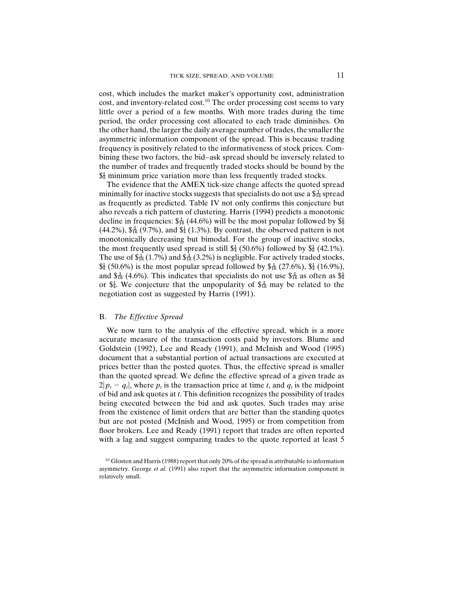cost, which includes the market maker's opportunity cost, administration cost, and inventory-related cost.<sup>10</sup> The order processing cost seems to vary little over a period of a few months. With more trades during the time period, the order processing cost allocated to each trade diminishes. On the other hand, the larger the daily average number of trades, the smaller the asymmetric information component of the spread. This is because trading frequency is positively related to the informativeness of stock prices. Combining these two factors, the bid–ask spread should be inversely related to the number of trades and frequently traded stocks should be bound by the  $\frac{1}{8}$  minimum price variation more than less frequently traded stocks.

The evidence that the AMEX tick-size change affects the quoted spread minimally for inactive stocks suggests that specialists do not use a  $\frac{1}{46}$  spread as frequently as predicted. Table IV not only confirms this conjecture but also reveals a rich pattern of clustering. Harris (1994) predicts a monotonic decline in frequencies:  $\frac{1}{46}$  (44.6%) will be the most popular followed by  $\frac{1}{8}$ (44.2%),  $\frac{3}{16}$  (9.7%), and  $\frac{1}{4}$  (1.3%). By contrast, the observed pattern is not monotonically decreasing but bimodal. For the group of inactive stocks, the most frequently used spread is still  $\frac{1}{4}$  (50.6%) followed by  $\frac{1}{8}$  (42.1%). The use of  $\frac{1}{46}$  (1.7%) and  $\frac{3}{46}$  (3.2%) is negligible. For actively traded stocks,  $\frac{1}{8}$  (50.6%) is the most popular spread followed by  $\frac{1}{16}$  (27.6%),  $\frac{1}{4}$  (16.9%), and  $\frac{3}{16}$  (4.6%). This indicates that specialists do not use  $\frac{3}{16}$  as often as  $\frac{4}{8}$ or  $\frac{1}{24}$ . We conjecture that the unpopularity of  $\frac{3}{16}$  may be related to the negotiation cost as suggested by Harris (1991).

# B. *The Effective Spread*

We now turn to the analysis of the effective spread, which is a more accurate measure of the transaction costs paid by investors. Blume and Goldstein (1992), Lee and Ready (1991), and McInish and Wood (1995) document that a substantial portion of actual transactions are executed at prices better than the posted quotes. Thus, the effective spread is smaller than the quoted spread. We define the effective spread of a given trade as  $2|p_t - q_t|$ , where  $p_t$  is the transaction price at time *t*, and  $q_t$  is the midpoint of bid and ask quotes at *t*. This definition recognizes the possibility of trades being executed between the bid and ask quotes. Such trades may arise from the existence of limit orders that are better than the standing quotes but are not posted (McInish and Wood, 1995) or from competition from floor brokers. Lee and Ready (1991) report that trades are often reported with a lag and suggest comparing trades to the quote reported at least 5

<sup>&</sup>lt;sup>10</sup> Glosten and Harris (1988) report that only 20% of the spread is attributable to information asymmetry. George *et al.* (1991) also report that the asymmetric information component is relatively small.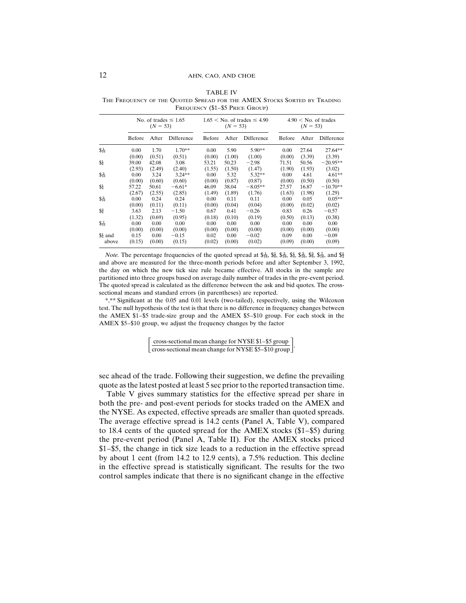|                   |        | $(N = 53)$ | No. of trades $\leq 1.65$ |        | $(N = 53)$ | $1.65 <$ No. of trades $\leq 4.90$ |        | $(N = 53)$ | $4.90 <$ No. of trades |
|-------------------|--------|------------|---------------------------|--------|------------|------------------------------------|--------|------------|------------------------|
|                   | Before | After      | Difference                | Before | After      | Difference                         | Before | After      | Difference             |
| $\frac{1}{36}$    | 0.00   | 1.70       | $1.70**$                  | 0.00   | 5.90       | 5.90**                             | 0.00   | 27.64      | 27.64**                |
|                   | (0.00) | (0.51)     | (0.51)                    | (0.00) | (1.00)     | (1.00)                             | (0.00) | (3.39)     | (3.39)                 |
| \$}               | 39.00  | 42.08      | 3.08                      | 53.21  | 50.23      | $-2.98$                            | 71.51  | 50.56      | $-20.95**$             |
|                   | (2.93) | (2.49)     | (2.40)                    | (1.55) | (1.50)     | (1.47)                             | (1.90) | (1.93)     | (3.02)                 |
| $$3\frac{3}{16}$  | 0.00   | 3.24       | $3.24***$                 | 0.00   | 5.32       | $5.32**$                           | 0.00   | 4.61       | $4.61**$               |
|                   | (0.00) | (0.60)     | (0.60)                    | (0.00) | (0.87)     | (0.87)                             | (0.00) | (0.50)     | (0.50)                 |
| \$4               | 57.22  | 50.61      | $-6.61*$                  | 46.09  | 38.04      | $-8.05**$                          | 27.57  | 16.87      | $-10.70**$             |
|                   | (2.67) | (2.55)     | (2.85)                    | (1.49) | (1.89)     | (1.76)                             | (1.63) | (1.98)     | (1.29)                 |
| $S_{16}^{5}$      | 0.00   | 0.24       | 0.24                      | 0.00   | 0.11       | 0.11                               | 0.00   | 0.05       | $0.05**$               |
|                   | (0.00) | (0.11)     | (0.11)                    | (0.00) | (0.04)     | (0.04)                             | (0.00) | (0.02)     | (0.02)                 |
| \$§               | 3.63   | 2.13       | $-1.50$                   | 0.67   | 0.41       | $-0.26$                            | 0.83   | 0.26       | $-0.57$                |
|                   | (1.32) | (0.69)     | (0.95)                    | (0.18) | (0.10)     | (0.19)                             | (0.50) | (0.13)     | (0.38)                 |
| $$^{7}_{16}$      | 0.00   | 0.00       | 0.00                      | 0.00   | 0.00       | 0.00                               | 0.00   | 0.00       | 0.00                   |
|                   | (0.00) | (0.00)     | (0.00)                    | (0.00) | (0.00)     | (0.00)                             | (0.00) | (0.00)     | (0.00)                 |
| $\frac{1}{2}$ and | 0.15   | 0.00       | $-0.15$                   | 0.02   | 0.00       | $-0.02$                            | 0.09   | 0.00       | $-0.09$                |
| above             | (0.15) | (0.00)     | (0.15)                    | (0.02) | (0.00)     | (0.02)                             | (0.09) | (0.00)     | (0.09)                 |

TABLE IV THE FREQUENCY OF THE QUOTED SPREAD FOR THE AMEX STOCKS SORTED BY TRADING FREQUENCY (\$1–\$5 PRICE GROUP)

*Note.* The percentage frequencies of the quoted spread at  $\frac{1}{66}$ ,  $\frac{1}{66}$ ,  $\frac{1}{64}$ ,  $\frac{5}{64}$ ,  $\frac{5}{66}$ ,  $\frac{2}{66}$ ,  $\frac{8}{36}$ ,  $\frac{5}{16}$ , and  $\frac{1}{2}$ and above are measured for the three-month periods before and after September 3, 1992, the day on which the new tick size rule became effective. All stocks in the sample are partitioned into three groups based on average daily number of trades in the pre-event period. The quoted spread is calculated as the difference between the ask and bid quotes. The crosssectional means and standard errors (in parentheses) are reported.

\*,\*\* Significant at the 0.05 and 0.01 levels (two-tailed), respectively, using the Wilcoxon test. The null hypothesis of the test is that there is no difference in frequency changes between the AMEX \$1–\$5 trade-size group and the AMEX \$5–\$10 group. For each stock in the AMEX \$5–\$10 group, we adjust the frequency changes by the factor

 $\left[ \frac{\text{cross-sectional mean change for NYSE $1-$$5 group}}{\text{cross-sectional mean change for NYSE $5-$$10 group}} \right].$ 

sec ahead of the trade. Following their suggestion, we define the prevailing quote as the latest posted at least 5 sec prior to the reported transaction time.

Table V gives summary statistics for the effective spread per share in both the pre- and post-event periods for stocks traded on the AMEX and the NYSE. As expected, effective spreads are smaller than quoted spreads. The average effective spread is 14.2 cents (Panel A, Table V), compared to 18.4 cents of the quoted spread for the AMEX stocks (\$1–\$5) during the pre-event period (Panel A, Table II). For the AMEX stocks priced \$1–\$5, the change in tick size leads to a reduction in the effective spread by about 1 cent (from 14.2 to 12.9 cents), a 7.5% reduction. This decline in the effective spread is statistically significant. The results for the two control samples indicate that there is no significant change in the effective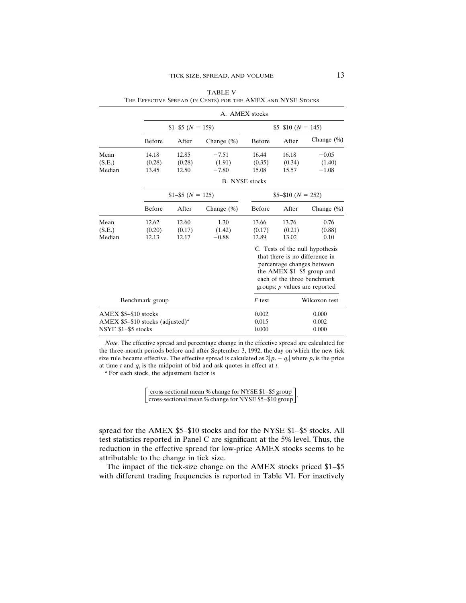|                      |                                              |                     |                       | A. AMEX stocks |                    |                                                                                                                                                                                                  |
|----------------------|----------------------------------------------|---------------------|-----------------------|----------------|--------------------|--------------------------------------------------------------------------------------------------------------------------------------------------------------------------------------------------|
|                      |                                              | $$1-$ \$5 (N = 159) |                       |                | $$5-$10 (N = 145)$ |                                                                                                                                                                                                  |
|                      | Before                                       | After               | Change $(\%)$         | Before         | After              | Change $(\%)$                                                                                                                                                                                    |
| Mean                 | 14.18                                        | 12.85               | $-7.51$               | 16.44          | 16.18              | $-0.05$                                                                                                                                                                                          |
| (S.E.)               | (0.28)                                       | (0.28)              | (1.91)                | (0.35)         | (0.34)             | (1.40)                                                                                                                                                                                           |
| Median               | 13.45                                        | 12.50               | $-7.80$               | 15.08          | 15.57              | $-1.08$                                                                                                                                                                                          |
|                      |                                              |                     | <b>B.</b> NYSE stocks |                |                    |                                                                                                                                                                                                  |
|                      |                                              | $$1-$ \$5 (N = 125) |                       |                | $$5-$10 (N = 252)$ |                                                                                                                                                                                                  |
|                      | Before                                       | After               | Change $(\%)$         | Before         | After              | Change $(\%)$                                                                                                                                                                                    |
| Mean                 | 12.62                                        | 12.60               | 1.30                  | 13.66          | 13.76              | 0.76                                                                                                                                                                                             |
| (S.E.)               | (0.20)                                       | (0.17)              | (1.42)                | (0.17)         | (0.21)             | (0.88)                                                                                                                                                                                           |
| Median               | 12.13                                        | 12.17               | $-0.88$               | 12.89          | 13.02              | 0.10                                                                                                                                                                                             |
|                      |                                              |                     |                       |                |                    | C. Tests of the null hypothesis<br>that there is no difference in<br>percentage changes between<br>the AMEX $$1-\$5$ group and<br>each of the three benchmark<br>groups; $p$ values are reported |
|                      | Benchmark group                              |                     |                       | $F$ -test      |                    | Wilcoxon test                                                                                                                                                                                    |
| AMEX \$5-\$10 stocks |                                              |                     |                       | 0.002          |                    | 0.000                                                                                                                                                                                            |
|                      | AMEX $$5-$10$ stocks (adjusted) <sup>a</sup> |                     |                       | 0.015          |                    | 0.002                                                                                                                                                                                            |
| NSYE \$1-\$5 stocks  |                                              |                     |                       | 0.000          |                    | 0.000                                                                                                                                                                                            |

TABLE V THE EFFECTIVE SPREAD (IN CENTS) FOR THE AMEX AND NYSE STOCKS

*Note.* The effective spread and percentage change in the effective spread are calculated for the three-month periods before and after September 3, 1992, the day on which the new tick size rule became effective. The effective spread is calculated as  $2|p_t - q_t|$  where  $p_t$  is the price at time  $t$  and  $q_t$  is the midpoint of bid and ask quotes in effect at  $t$ .

*<sup>a</sup>* For each stock, the adjustment factor is

| $\lceil$ cross-sectional mean % change for NYSE \$1-\$5 group $\lceil$ |  |
|------------------------------------------------------------------------|--|
| cross-sectional mean % change for NYSE \$5-\$10 group                  |  |

spread for the AMEX \$5–\$10 stocks and for the NYSE \$1–\$5 stocks. All test statistics reported in Panel C are significant at the 5% level. Thus, the reduction in the effective spread for low-price AMEX stocks seems to be attributable to the change in tick size.

The impact of the tick-size change on the AMEX stocks priced \$1–\$5 with different trading frequencies is reported in Table VI. For inactively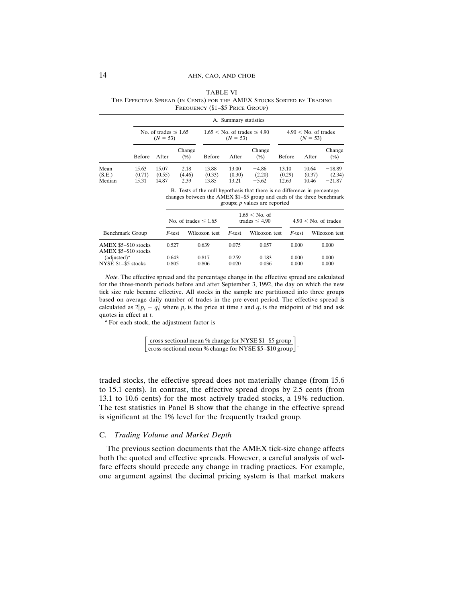|                          |                          |                                         |                        |                          | A. Summary statistics    |                                    |                          |                                      |                                |
|--------------------------|--------------------------|-----------------------------------------|------------------------|--------------------------|--------------------------|------------------------------------|--------------------------|--------------------------------------|--------------------------------|
|                          |                          | No. of trades $\leq 1.65$<br>$(N = 53)$ |                        |                          | $(N = 53)$               | $1.65 <$ No. of trades $\leq 4.90$ |                          | $4.90 <$ No. of trades<br>$(N = 53)$ |                                |
|                          | Before                   | After                                   | Change<br>(% )         | Before                   | After                    | Change<br>(% )                     | Before                   | After                                | Change<br>(% )                 |
| Mean<br>(S.E.)<br>Median | 15.63<br>(0.71)<br>15.31 | 15.07<br>(0.55)<br>14.87                | 2.18<br>(4.46)<br>2.39 | 13.88<br>(0.33)<br>13.85 | 13.00<br>(0.30)<br>13.21 | $-4.86$<br>(2.20)<br>$-5.62$       | 13.10<br>(0.29)<br>12.63 | 10.64<br>(0.37)<br>10.46             | $-18.89$<br>(2.34)<br>$-21.87$ |

TABLE VI THE EFFECTIVE SPREAD (IN CENTS) FOR THE AMEX STOCKS SORTED BY TRADING FREQUENCY (\$1–\$5 PRICE GROUP)

B. Tests of the null hypothesis that there is no difference in percentage changes between the AMEX \$1–\$5 group and each of the three benchmark groups; *p* values are reported

|                                              |                | No. of trades $\leq 1.65$ |                | $1.65 <$ No. of<br>trades $\leq 4.90$ |                | $4.90 <$ No. of trades |
|----------------------------------------------|----------------|---------------------------|----------------|---------------------------------------|----------------|------------------------|
| Benchmark Group                              | F-test         | Wilcoxon test             | F-test         | Wilcoxon test                         | F-test         | Wilcoxon test          |
| AMEX \$5-\$10 stocks<br>AMEX \$5-\$10 stocks | 0.527          | 0.639                     | 0.075          | 0.057                                 | 0.000          | 0.000                  |
| $(adjusted)^a$<br>NYSE \$1-\$5 stocks        | 0.643<br>0.805 | 0.817<br>0.806            | 0.259<br>0.020 | 0.183<br>0.036                        | 0.000<br>0.000 | 0.000<br>0.000         |

*Note.* The effective spread and the percentage change in the effective spread are calculated for the three-month periods before and after September 3, 1992, the day on which the new tick size rule became effective. All stocks in the sample are partitioned into three groups based on average daily number of trades in the pre-event period. The effective spread is calculated as  $2|p_t - q_t|$  where  $p_t$  is the price at time t and  $q_t$  is the midpoint of bid and ask quotes in effect at *t*.

*<sup>a</sup>* For each stock, the adjustment factor is

 $\left[ \frac{\text{cross-sectional mean }% \text{ change for NYSE } $1-$5 group}{\text{cross-sectional mean }% \text{ change for NYSE } $5-$10 group} \right].$ 

traded stocks, the effective spread does not materially change (from 15.6 to 15.1 cents). In contrast, the effective spread drops by 2.5 cents (from 13.1 to 10.6 cents) for the most actively traded stocks, a 19% reduction. The test statistics in Panel B show that the change in the effective spread is significant at the 1% level for the frequently traded group.

### C. *Trading Volume and Market Depth*

The previous section documents that the AMEX tick-size change affects both the quoted and effective spreads. However, a careful analysis of welfare effects should precede any change in trading practices. For example, one argument against the decimal pricing system is that market makers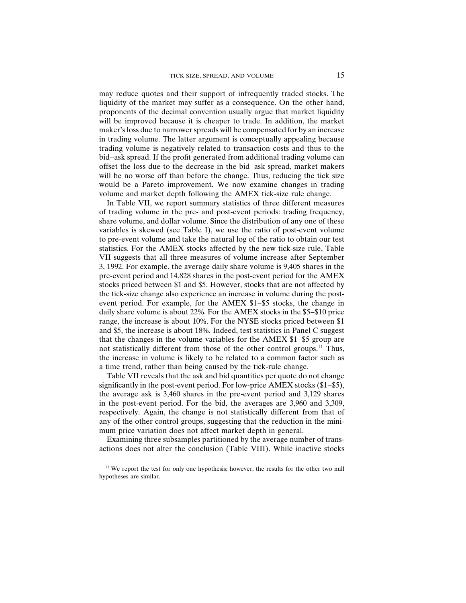may reduce quotes and their support of infrequently traded stocks. The liquidity of the market may suffer as a consequence. On the other hand, proponents of the decimal convention usually argue that market liquidity will be improved because it is cheaper to trade. In addition, the market maker's loss due to narrower spreads will be compensated for by an increase in trading volume. The latter argument is conceptually appealing because trading volume is negatively related to transaction costs and thus to the bid–ask spread. If the profit generated from additional trading volume can offset the loss due to the decrease in the bid–ask spread, market makers will be no worse off than before the change. Thus, reducing the tick size would be a Pareto improvement. We now examine changes in trading volume and market depth following the AMEX tick-size rule change.

In Table VII, we report summary statistics of three different measures of trading volume in the pre- and post-event periods: trading frequency, share volume, and dollar volume. Since the distribution of any one of these variables is skewed (see Table I), we use the ratio of post-event volume to pre-event volume and take the natural log of the ratio to obtain our test statistics. For the AMEX stocks affected by the new tick-size rule, Table VII suggests that all three measures of volume increase after September 3, 1992. For example, the average daily share volume is 9,405 shares in the pre-event period and 14,828 shares in the post-event period for the AMEX stocks priced between \$1 and \$5. However, stocks that are not affected by the tick-size change also experience an increase in volume during the postevent period. For example, for the AMEX \$1–\$5 stocks, the change in daily share volume is about 22%. For the AMEX stocks in the \$5–\$10 price range, the increase is about 10%. For the NYSE stocks priced between \$1 and \$5, the increase is about 18%. Indeed, test statistics in Panel C suggest that the changes in the volume variables for the AMEX \$1–\$5 group are not statistically different from those of the other control groups.11 Thus, the increase in volume is likely to be related to a common factor such as a time trend, rather than being caused by the tick-rule change.

Table VII reveals that the ask and bid quantities per quote do not change significantly in the post-event period. For low-price AMEX stocks (\$1–\$5), the average ask is 3,460 shares in the pre-event period and 3,129 shares in the post-event period. For the bid, the averages are 3,960 and 3,309, respectively. Again, the change is not statistically different from that of any of the other control groups, suggesting that the reduction in the minimum price variation does not affect market depth in general.

Examining three subsamples partitioned by the average number of transactions does not alter the conclusion (Table VIII). While inactive stocks

<sup>&</sup>lt;sup>11</sup> We report the test for only one hypothesis; however, the results for the other two null hypotheses are similar.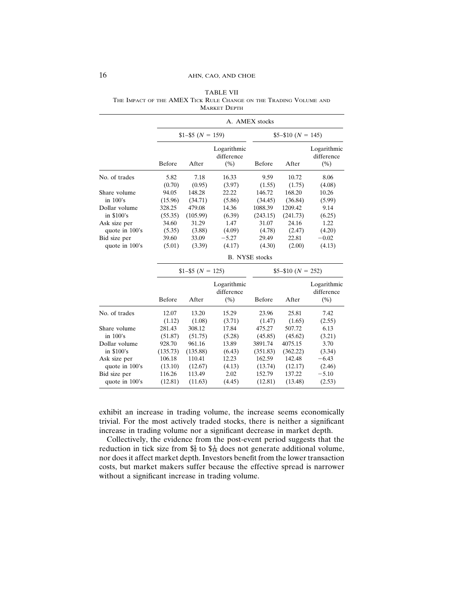|                |          |                     |                                   | A. AMEX stocks        |                    |                                   |
|----------------|----------|---------------------|-----------------------------------|-----------------------|--------------------|-----------------------------------|
|                |          | $$1-$ \$5 (N = 159) |                                   |                       | $$5-$10 (N = 145)$ |                                   |
|                | Before   | After               | Logarithmic<br>difference<br>(% ) | Before                | After              | Logarithmic<br>difference<br>(% ) |
| No. of trades  | 5.82     | 7.18                | 16.33                             | 9.59                  | 10.72              | 8.06                              |
|                | (0.70)   | (0.95)              | (3.97)                            | (1.55)                | (1.75)             | (4.08)                            |
| Share volume   | 94.05    | 148.28              | 22.22                             | 146.72                | 168.20             | 10.26                             |
| in $100$ 's    | (15.96)  | (34.71)             | (5.86)                            | (34.45)               | (36.84)            | (5.99)                            |
| Dollar volume  | 328.25   | 479.08              | 14.36                             | 1088.39               | 1209.42            | 9.14                              |
| in \$100's     | (55.35)  | (105.99)            | (6.39)                            | (243.15)              | (241.73)           | (6.25)                            |
| Ask size per   | 34.60    | 31.29               | 1.47                              | 31.07                 | 24.16              | 1.22                              |
| quote in 100's | (5.35)   | (3.88)              | (4.09)                            | (4.78)                | (2.47)             | (4.20)                            |
| Bid size per   | 39.60    | 33.09               | $-5.27$                           | 29.49                 | 22.81              | $-0.02$                           |
| quote in 100's | (5.01)   | (3.39)              | (4.17)                            | (4.30)                | (2.00)             | (4.13)                            |
|                |          |                     |                                   | <b>B.</b> NYSE stocks |                    |                                   |
|                |          | $$1-$ \$5 (N = 125) |                                   |                       | $$5-$10 (N = 252)$ |                                   |
|                |          |                     | Logarithmic<br>difference         |                       |                    | Logarithmic<br>difference         |
|                | Before   | After               | (% )                              | Before                | After              | (% )                              |
| No. of trades  | 12.07    | 13.20               | 15.29                             | 23.96                 | 25.81              | 7.42                              |
|                | (1.12)   | (1.08)              | (3.71)                            | (1.47)                | (1.65)             | (2.55)                            |
| Share volume   | 281.43   | 308.12              | 17.84                             | 475.27                | 507.72             | 6.13                              |
| in $100$ 's    | (51.87)  | (51.75)             | (5.28)                            | (45.85)               | (45.62)            | (3.21)                            |
| Dollar volume  | 928.70   | 961.16              | 13.89                             | 3891.74               | 4075.15            | 3.70                              |
| in \$100's     | (135.73) | (135.88)            | (6.43)                            | (351.83)              | (362.22)           | (3.34)                            |
| Ask size per   | 106.18   | 110.41              | 12.23                             | 162.59                | 142.48             | $-6.43$                           |
| quote in 100's | (13.10)  | (12.67)             | (4.13)                            | (13.74)               | (12.17)            | (2.46)                            |
| Bid size per   | 116.26   | 113.49              | 2.02                              | 152.79                | 137.22             | $-5.10$                           |
| quote in 100's | (12.81)  | (11.63)             | (4.45)                            | (12.81)               | (13.48)            | (2.53)                            |

TABLE VII THE IMPACT OF THE AMEX TICK RULE CHANGE ON THE TRADING VOLUME AND MARKET DEPTH

exhibit an increase in trading volume, the increase seems economically trivial. For the most actively traded stocks, there is neither a significant increase in trading volume nor a significant decrease in market depth.

Collectively, the evidence from the post-event period suggests that the reduction in tick size from  $\frac{1}{8}$  to  $\frac{1}{8}$  does not generate additional volume, nor does it affect market depth. Investors benefit from the lower transaction costs, but market makers suffer because the effective spread is narrower without a significant increase in trading volume.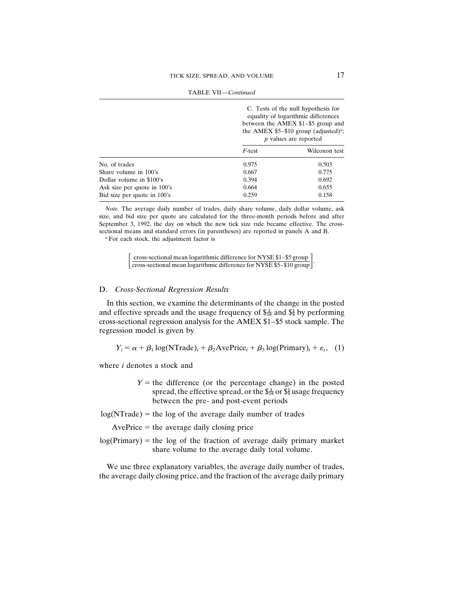|                             |           | C. Tests of the null hypothesis for<br>equality of logarithmic differences<br>between the AMEX \$1-\$5 group and<br>the AMEX $$5-$10$ group (adjusted) <sup>a</sup> ;<br><i>p</i> values are reported |
|-----------------------------|-----------|-------------------------------------------------------------------------------------------------------------------------------------------------------------------------------------------------------|
|                             | $F$ -test | Wilcoxon test                                                                                                                                                                                         |
| No. of trades               | 0.975     | 0.503                                                                                                                                                                                                 |
| Share volume in 100's       | 0.667     | 0.775                                                                                                                                                                                                 |
| Dollar volume in \$100's    | 0.394     | 0.692                                                                                                                                                                                                 |
| Ask size per quote in 100's | 0.664     | 0.655                                                                                                                                                                                                 |
| Bid size per quote in 100's | 0.259     | 0.158                                                                                                                                                                                                 |
|                             |           |                                                                                                                                                                                                       |

TABLE VII—*Continued*

*Note.* The average daily number of trades, daily share volume, daily dollar volume, ask size, and bid size per quote are calculated for the three-month periods before and after September 3, 1992, the day on which the new tick size rule became effective. The crosssectional means and standard errors (in parentheses) are reported in panels A and B.

*<sup>a</sup>* For each stock, the adjustment factor is

[cross-sectional mean logarithmic difference for NYSE \$1–\$5 group]<br>cross-sectional mean logarithmic difference for NYSE \$5–\$10 group]

# D. *Cross-Sectional Regression Results*

In this section, we examine the determinants of the change in the posted and effective spreads and the usage frequency of  $\frac{1}{46}$  and  $\frac{1}{86}$  by performing cross-sectional regression analysis for the AMEX \$1–\$5 stock sample. The regression model is given by

 $Y_i = \alpha + \beta_1 \log(N \text{Trade})_i + \beta_2 \text{AvePrice}_i + \beta_3 \log(\text{Primary})_i + \varepsilon_i$ , (1)

where *i* denotes a stock and

 $Y =$  the difference (or the percentage change) in the posted spread, the effective spread, or the  $\frac{1}{6}$  or  $\frac{1}{6}$  usage frequency between the pre- and post-event periods

 $log(NTrade)$  = the log of the average daily number of trades

 $AvePrice = the average daily closing price$ 

 $log(Primary)$  = the log of the fraction of average daily primary market share volume to the average daily total volume.

We use three explanatory variables, the average daily number of trades, the average daily closing price, and the fraction of the average daily primary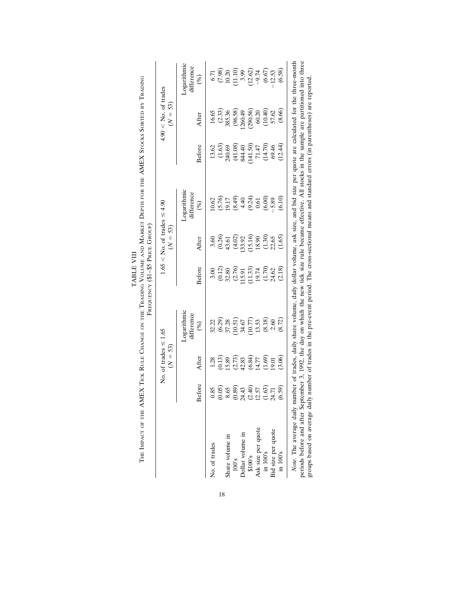|                    |                | No. of trades $\leq 1.65$<br>$(N = 53)$ |                                         |                      | $1.65 <$ No. of trades $\leq 4.90$<br>$(N = 53)$ |                           |                     | $4.90 \leq$ No. of trades<br>$(N = 53)$ |                                  |
|--------------------|----------------|-----------------------------------------|-----------------------------------------|----------------------|--------------------------------------------------|---------------------------|---------------------|-----------------------------------------|----------------------------------|
|                    |                | After                                   | <b><i>Cogarithmic</i></b><br>difference | Before               | After                                            | Logarithmic<br>difference | Before              | After                                   | <b>Logarithmic</b><br>difference |
| No. of trades      | Before<br>0.85 | 1.28                                    | 32.22<br>$(\%)$                         | 3.00                 | 3.60                                             | 10.62<br>$(\%)$           | 13.62               | 16.65                                   | 6.71<br>$(\%)$                   |
|                    | (0.05)         | (0.13)                                  |                                         |                      |                                                  |                           | (1.63)              |                                         | (7.98)                           |
| Share volume in    | 8.65           | 15.89                                   | $(6.29)$<br>$37.28$                     | $(0.12)$<br>32.80    | $(0.26)$<br>43.61                                | $(5.76)$<br>19.17         | 240.69              | $(2.33)$<br>385.36                      | 10.20                            |
| 100's              | (0.89)         | (2.73)                                  |                                         | (2.76)               | (4.02)                                           |                           |                     | (96.58)                                 |                                  |
| Dollar volume in   | 24.43          | 42.83                                   | $(10.51)$<br>34.67                      | 15.91                | 133.92                                           | $(8.49)$<br>4.40          | $(41.08)$<br>844.40 | (260.49)                                | $(11.10)$<br>3.99                |
| \$100's            | (2.40)         | (6.84)                                  | (10.77)                                 |                      | (15.16)                                          | $(9.24)$<br>0.61          | (141.50)            | (290.56)                                |                                  |
| Ask size per quote | 12.57          | 14.77                                   | 13.53                                   | $(11.33)$<br>$19.74$ | 18.90                                            |                           | $71.47$             | 60.20                                   | (12.62)                          |
| in 100's           | (1.63)         | (1.69)                                  | (8.18)                                  | (1.70)               | (1.30)                                           | (6.00)                    | (14.70)             | (10.40)                                 | (6.67)                           |
| Bid size per quote | 24.71          | 19.01                                   | 2.60                                    | 24.62                | 22.65                                            | 5.89                      | 69.46               | 57.62                                   | 12.53                            |
| $\ln 100$ 's       | (6.59)         | (3.06)                                  | (8.72)                                  | (2.18)               | (1.65)                                           | (6.10)                    | (12.44)             | (8.66)                                  | (6.58)                           |

TABLE VIII TABLE VIII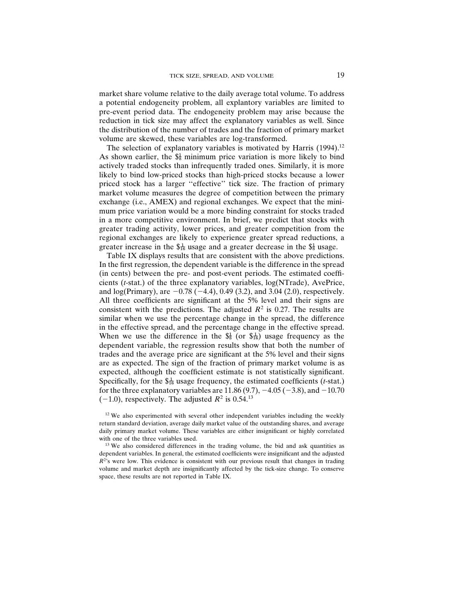market share volume relative to the daily average total volume. To address a potential endogeneity problem, all explantory variables are limited to pre-event period data. The endogeneity problem may arise because the reduction in tick size may affect the explanatory variables as well. Since the distribution of the number of trades and the fraction of primary market volume are skewed, these variables are log-transformed.

The selection of explanatory variables is motivated by Harris (1994).<sup>12</sup> As shown earlier, the  $\frac{1}{2}$  minimum price variation is more likely to bind actively traded stocks than infrequently traded ones. Similarly, it is more likely to bind low-priced stocks than high-priced stocks because a lower priced stock has a larger "effective" tick size. The fraction of primary market volume measures the degree of competition between the primary exchange (i.e., AMEX) and regional exchanges. We expect that the minimum price variation would be a more binding constraint for stocks traded in a more competitive environment. In brief, we predict that stocks with greater trading activity, lower prices, and greater competition from the regional exchanges are likely to experience greater spread reductions, a greater increase in the  $\frac{1}{46}$  usage and a greater decrease in the  $\frac{1}{88}$  usage.

Table IX displays results that are consistent with the above predictions. In the first regression, the dependent variable is the difference in the spread (in cents) between the pre- and post-event periods. The estimated coefficients (*t*-stat.) of the three explanatory variables, log(NTrade), AvePrice, and  $log(Primary)$ , are  $-0.78$  ( $-4.4$ ), 0.49 (3.2), and 3.04 (2.0), respectively. All three coefficients are significant at the 5% level and their signs are consistent with the predictions. The adjusted  $R^2$  is 0.27. The results are similar when we use the percentage change in the spread, the difference in the effective spread, and the percentage change in the effective spread. When we use the difference in the  $\frac{4}{8}$  (or  $\frac{4}{16}$ ) usage frequency as the dependent variable, the regression results show that both the number of trades and the average price are significant at the 5% level and their signs are as expected. The sign of the fraction of primary market volume is as expected, although the coefficient estimate is not statistically significant. Specifically, for the  $\frac{4}{16}$  usage frequency, the estimated coefficients (*t*-stat.) for the three explanatory variables are  $11.86 (9.7)$ ,  $-4.05 (-3.8)$ , and  $-10.70$  $(-1.0)$ , respectively. The adjusted  $R^2$  is 0.54.<sup>13</sup>

 $12$  We also experimented with several other independent variables including the weekly return standard deviation, average daily market value of the outstanding shares, and average daily primary market volume. These variables are either insignificant or highly correlated with one of the three variables used.

<sup>13</sup> We also considered differences in the trading volume, the bid and ask quantities as dependent variables. In general, the estimated coefficients were insignificant and the adjusted  $R<sup>2</sup>$ 's were low. This evidence is consistent with our previous result that changes in trading volume and market depth are insignificantly affected by the tick-size change. To conserve space, these results are not reported in Table IX.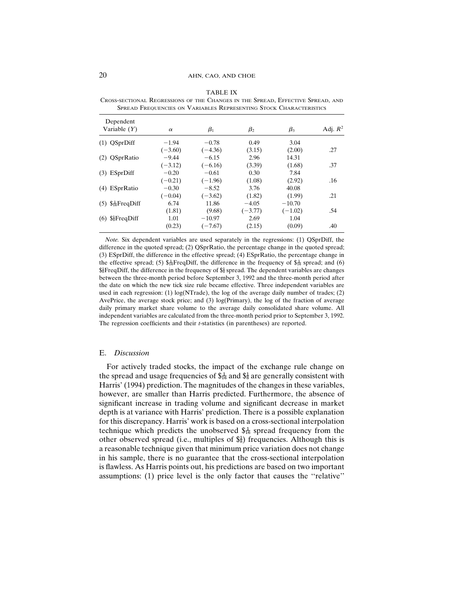### 20 AHN, CAO, AND CHOE

| Dependent                        |           |           |           |           |            |
|----------------------------------|-----------|-----------|-----------|-----------|------------|
| Variable $(Y)$                   | $\alpha$  | $\beta_1$ | $\beta_2$ | $\beta_3$ | Adj. $R^2$ |
| $(1)$ QSprDiff                   | $-1.94$   | $-0.78$   | 0.49      | 3.04      |            |
|                                  | $(-3.60)$ | $(-4.36)$ | (3.15)    | (2.00)    | .27        |
| (2) QSprRatio                    | $-9.44$   | $-6.15$   | 2.96      | 14.31     |            |
|                                  | $(-3.12)$ | $(-6.16)$ | (3.39)    | (1.68)    | .37        |
| $(3)$ ESprDiff                   | $-0.20$   | $-0.61$   | 0.30      | 7.84      |            |
|                                  | $(-0.21)$ | $(-1.96)$ | (1.08)    | (2.92)    | .16        |
| (4) ESprRatio                    | $-0.30$   | $-8.52$   | 3.76      | 40.08     |            |
|                                  | $(-0.04)$ | $(-3.62)$ | (1.82)    | (1.99)    | .21        |
| $(5)$ \$ $\frac{1}{16}$ FreqDiff | 6.74      | 11.86     | $-4.05$   | $-10.70$  |            |
|                                  | (1.81)    | (9.68)    | $(-3.77)$ | $(-1.02)$ | .54        |
| $(6)$ \$ $\frac{1}{8}$ FreqDiff  | 1.01      | $-10.97$  | 2.69      | 1.04      |            |
|                                  | (0.23)    | $(-7.67)$ | (2.15)    | (0.09)    | .40        |

TABLE IX CROSS-SECTIONAL REGRESSIONS OF THE CHANGES IN THE SPREAD, EFFECTIVE SPREAD, AND SPREAD FREQUENCIES ON VARIABLES REPRESENTING STOCK CHARACTERISTICS

*Note.* Six dependent variables are used separately in the regressions: (1) QSprDiff, the difference in the quoted spread; (2) QSprRatio, the percentage change in the quoted spread; (3) ESprDiff, the difference in the effective spread; (4) ESprRatio, the percentage change in the effective spread; (5)  $\frac{1}{26}$  FreqDiff, the difference in the frequency of  $\frac{1}{16}$  spread; and (6)  $\frac{1}{8}$ FreqDiff, the difference in the frequency of  $\frac{2}{8}$  spread. The dependent variables are changes between the three-month period before September 3, 1992 and the three-month period after the date on which the new tick size rule became effective. Three independent variables are used in each regression: (1) log(NTrade), the log of the average daily number of trades; (2) AvePrice, the average stock price; and (3) log(Primary), the log of the fraction of average daily primary market share volume to the average daily consolidated share volume. All independent variables are calculated from the three-month period prior to September 3, 1992. The regression coefficients and their *t*-statistics (in parentheses) are reported.

### E. *Discussion*

For actively traded stocks, the impact of the exchange rule change on the spread and usage frequencies of  $\frac{1}{46}$  and  $\frac{1}{8}$  are generally consistent with Harris' (1994) prediction. The magnitudes of the changes in these variables, however, are smaller than Harris predicted. Furthermore, the absence of significant increase in trading volume and significant decrease in market depth is at variance with Harris' prediction. There is a possible explanation for this discrepancy. Harris' work is based on a cross-sectional interpolation technique which predicts the unobserved  $\frac{1}{6}$  spread frequency from the other observed spread (i.e., multiples of  $\frac{1}{8}$ ) frequencies. Although this is a reasonable technique given that minimum price variation does not change in his sample, there is no guarantee that the cross-sectional interpolation is flawless. As Harris points out, his predictions are based on two important assumptions: (1) price level is the only factor that causes the ''relative''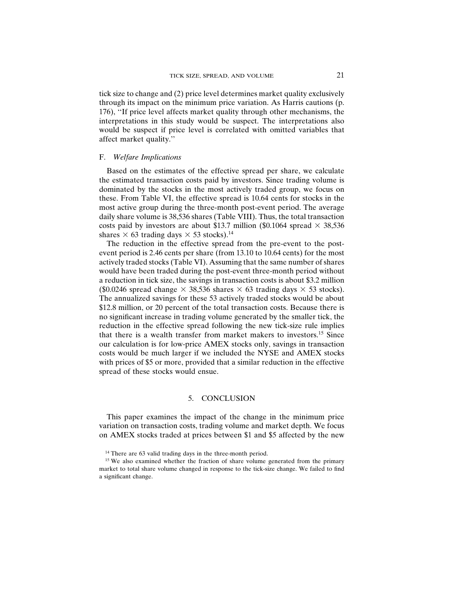tick size to change and (2) price level determines market quality exclusively through its impact on the minimum price variation. As Harris cautions (p. 176), ''If price level affects market quality through other mechanisms, the interpretations in this study would be suspect. The interpretations also would be suspect if price level is correlated with omitted variables that affect market quality.''

#### F. *Welfare Implications*

Based on the estimates of the effective spread per share, we calculate the estimated transaction costs paid by investors. Since trading volume is dominated by the stocks in the most actively traded group, we focus on these. From Table VI, the effective spread is 10.64 cents for stocks in the most active group during the three-month post-event period. The average daily share volume is 38,536 shares (Table VIII). Thus, the total transaction costs paid by investors are about \$13.7 million (\$0.1064 spread  $\times$  38,536 shares  $\times$  63 trading days  $\times$  53 stocks).<sup>14</sup>

The reduction in the effective spread from the pre-event to the postevent period is 2.46 cents per share (from 13.10 to 10.64 cents) for the most actively traded stocks (Table VI). Assuming that the same number of shares would have been traded during the post-event three-month period without a reduction in tick size, the savings in transaction costs is about \$3.2 million (\$0.0246 spread change  $\times$  38,536 shares  $\times$  63 trading days  $\times$  53 stocks). The annualized savings for these 53 actively traded stocks would be about \$12.8 million, or 20 percent of the total transaction costs. Because there is no significant increase in trading volume generated by the smaller tick, the reduction in the effective spread following the new tick-size rule implies that there is a wealth transfer from market makers to investors.15 Since our calculation is for low-price AMEX stocks only, savings in transaction costs would be much larger if we included the NYSE and AMEX stocks with prices of \$5 or more, provided that a similar reduction in the effective spread of these stocks would ensue.

### 5. CONCLUSION

This paper examines the impact of the change in the minimum price variation on transaction costs, trading volume and market depth. We focus on AMEX stocks traded at prices between \$1 and \$5 affected by the new

<sup>&</sup>lt;sup>14</sup> There are 63 valid trading days in the three-month period.

<sup>&</sup>lt;sup>15</sup> We also examined whether the fraction of share volume generated from the primary market to total share volume changed in response to the tick-size change. We failed to find a significant change.